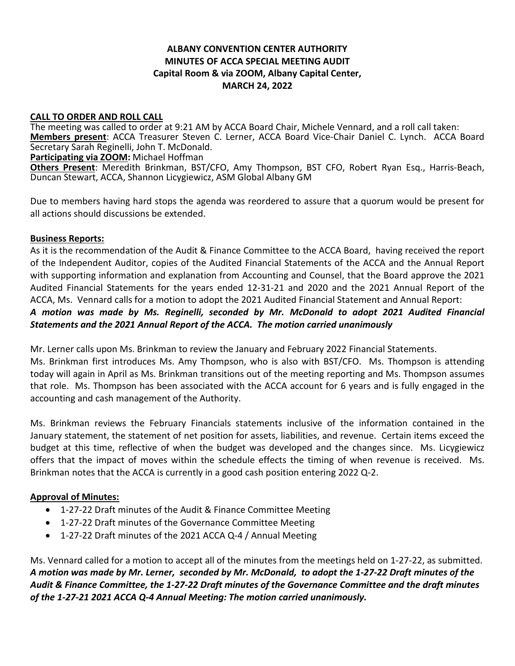# **ALBANY CONVENTION CENTER AUTHORITY MINUTES OF ACCA SPECIAL MEETING AUDIT Capital Room & via ZOOM, Albany Capital Center, MARCH 24, 2022**

#### **CALL TO ORDER AND ROLL CALL**

The meeting was called to order at 9:21 AM by ACCA Board Chair, Michele Vennard, and a roll call taken: **Members present**: ACCA Treasurer Steven C. Lerner, ACCA Board Vice-Chair Daniel C. Lynch. ACCA Board Secretary Sarah Reginelli, John T. McDonald.

#### **Participating via ZOOM:** Michael Hoffman

**Others Present**: Meredith Brinkman, BST/CFO, Amy Thompson, BST CFO, Robert Ryan Esq., Harris-Beach, Duncan Stewart, ACCA, Shannon Licygiewicz, ASM Global Albany GM

Due to members having hard stops the agenda was reordered to assure that a quorum would be present for all actions should discussions be extended.

### **Business Reports:**

As it is the recommendation of the Audit & Finance Committee to the ACCA Board, having received the report of the Independent Auditor, copies of the Audited Financial Statements of the ACCA and the Annual Report with supporting information and explanation from Accounting and Counsel, that the Board approve the 2021 Audited Financial Statements for the years ended 12-31-21 and 2020 and the 2021 Annual Report of the ACCA, Ms. Vennard calls for a motion to adopt the 2021 Audited Financial Statement and Annual Report:

# *A motion was made by Ms. Reginelli, seconded by Mr. McDonald to adopt 2021 Audited Financial Statements and the 2021 Annual Report of the ACCA. The motion carried unanimously*

Mr. Lerner calls upon Ms. Brinkman to review the January and February 2022 Financial Statements.

Ms. Brinkman first introduces Ms. Amy Thompson, who is also with BST/CFO. Ms. Thompson is attending today will again in April as Ms. Brinkman transitions out of the meeting reporting and Ms. Thompson assumes that role. Ms. Thompson has been associated with the ACCA account for 6 years and is fully engaged in the accounting and cash management of the Authority.

Ms. Brinkman reviews the February Financials statements inclusive of the information contained in the January statement, the statement of net position for assets, liabilities, and revenue. Certain items exceed the budget at this time, reflective of when the budget was developed and the changes since. Ms. Licygiewicz offers that the impact of moves within the schedule effects the timing of when revenue is received. Ms. Brinkman notes that the ACCA is currently in a good cash position entering 2022 Q-2.

# **Approval of Minutes:**

- 1-27-22 Draft minutes of the Audit & Finance Committee Meeting
- 1-27-22 Draft minutes of the Governance Committee Meeting
- 1-27-22 Draft minutes of the 2021 ACCA Q-4 / Annual Meeting

Ms. Vennard called for a motion to accept all of the minutes from the meetings held on 1-27-22, as submitted. *A motion was made by Mr. Lerner, seconded by Mr. McDonald, to adopt the 1-27-22 Draft minutes of the Audit & Finance Committee, the 1-27-22 Draft minutes of the Governance Committee and the draft minutes of the 1-27-21 2021 ACCA Q-4 Annual Meeting: The motion carried unanimously.*